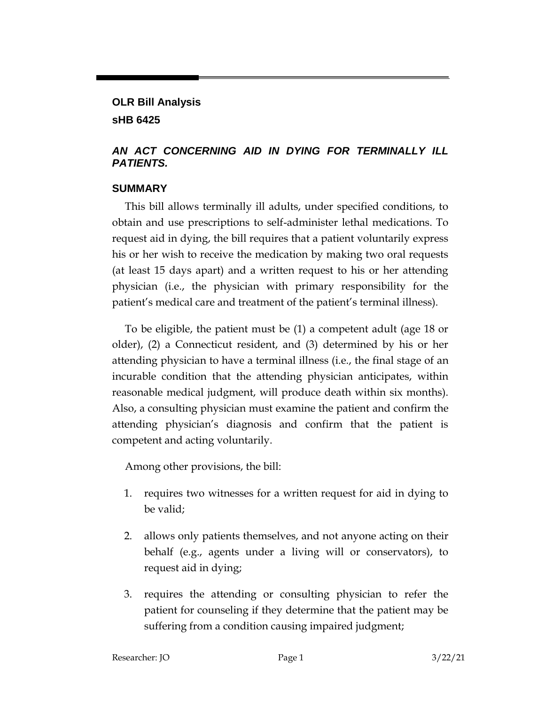# **OLR Bill Analysis sHB 6425**

#### *AN ACT CONCERNING AID IN DYING FOR TERMINALLY ILL PATIENTS.*

#### **SUMMARY**

This bill allows terminally ill adults, under specified conditions, to obtain and use prescriptions to self-administer lethal medications. To request aid in dying, the bill requires that a patient voluntarily express his or her wish to receive the medication by making two oral requests (at least 15 days apart) and a written request to his or her attending physician (i.e., the physician with primary responsibility for the patient's medical care and treatment of the patient's terminal illness).

To be eligible, the patient must be (1) a competent adult (age 18 or older), (2) a Connecticut resident, and (3) determined by his or her attending physician to have a terminal illness (i.e., the final stage of an incurable condition that the attending physician anticipates, within reasonable medical judgment, will produce death within six months). Also, a consulting physician must examine the patient and confirm the attending physician's diagnosis and confirm that the patient is competent and acting voluntarily.

Among other provisions, the bill:

- 1. requires two witnesses for a written request for aid in dying to be valid;
- 2. allows only patients themselves, and not anyone acting on their behalf (e.g., agents under a living will or conservators), to request aid in dying;
- 3. requires the attending or consulting physician to refer the patient for counseling if they determine that the patient may be suffering from a condition causing impaired judgment;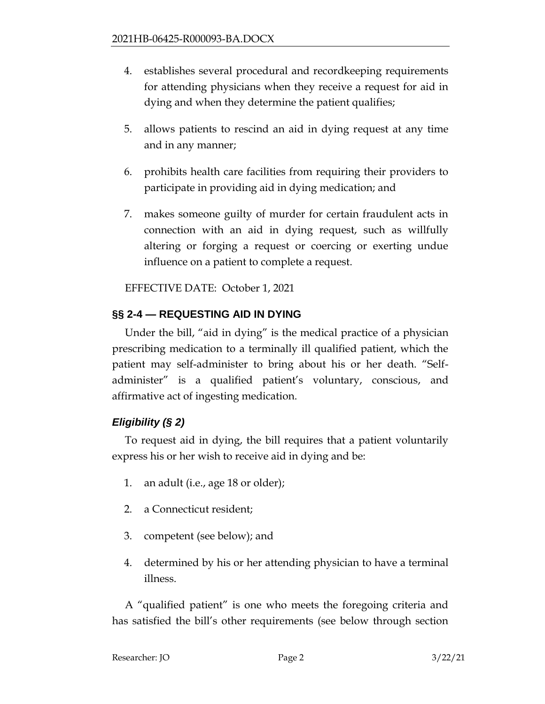- 4. establishes several procedural and recordkeeping requirements for attending physicians when they receive a request for aid in dying and when they determine the patient qualifies;
- 5. allows patients to rescind an aid in dying request at any time and in any manner;
- 6. prohibits health care facilities from requiring their providers to participate in providing aid in dying medication; and
- 7. makes someone guilty of murder for certain fraudulent acts in connection with an aid in dying request, such as willfully altering or forging a request or coercing or exerting undue influence on a patient to complete a request.

EFFECTIVE DATE: October 1, 2021

# **§§ 2-4 — REQUESTING AID IN DYING**

Under the bill, "aid in dying" is the medical practice of a physician prescribing medication to a terminally ill qualified patient, which the patient may self-administer to bring about his or her death. "Selfadminister" is a qualified patient's voluntary, conscious, and affirmative act of ingesting medication.

# *Eligibility (§ 2)*

To request aid in dying, the bill requires that a patient voluntarily express his or her wish to receive aid in dying and be:

- 1. an adult (i.e., age 18 or older);
- 2. a Connecticut resident;
- 3. competent (see below); and
- 4. determined by his or her attending physician to have a terminal illness.

A "qualified patient" is one who meets the foregoing criteria and has satisfied the bill's other requirements (see below through section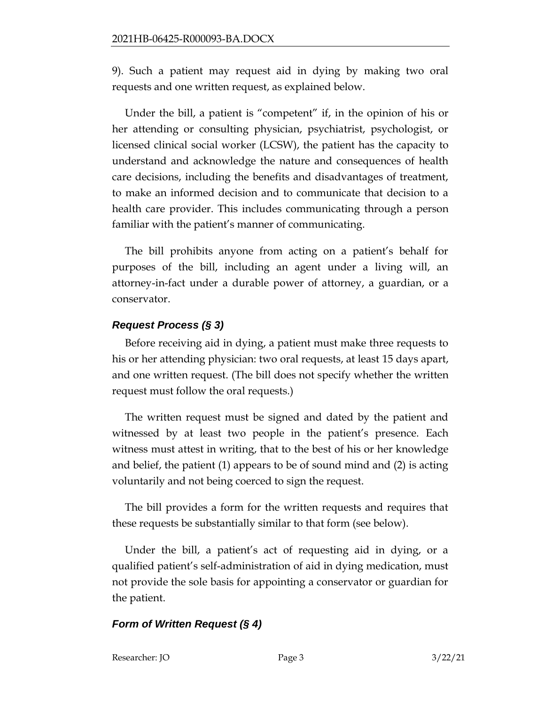9). Such a patient may request aid in dying by making two oral requests and one written request, as explained below.

Under the bill, a patient is "competent" if, in the opinion of his or her attending or consulting physician, psychiatrist, psychologist, or licensed clinical social worker (LCSW), the patient has the capacity to understand and acknowledge the nature and consequences of health care decisions, including the benefits and disadvantages of treatment, to make an informed decision and to communicate that decision to a health care provider. This includes communicating through a person familiar with the patient's manner of communicating.

The bill prohibits anyone from acting on a patient's behalf for purposes of the bill, including an agent under a living will, an attorney-in-fact under a durable power of attorney, a guardian, or a conservator.

# *Request Process (§ 3)*

Before receiving aid in dying, a patient must make three requests to his or her attending physician: two oral requests, at least 15 days apart, and one written request. (The bill does not specify whether the written request must follow the oral requests.)

The written request must be signed and dated by the patient and witnessed by at least two people in the patient's presence. Each witness must attest in writing, that to the best of his or her knowledge and belief, the patient (1) appears to be of sound mind and (2) is acting voluntarily and not being coerced to sign the request.

The bill provides a form for the written requests and requires that these requests be substantially similar to that form (see below).

Under the bill, a patient's act of requesting aid in dying, or a qualified patient's self-administration of aid in dying medication, must not provide the sole basis for appointing a conservator or guardian for the patient.

# *Form of Written Request (§ 4)*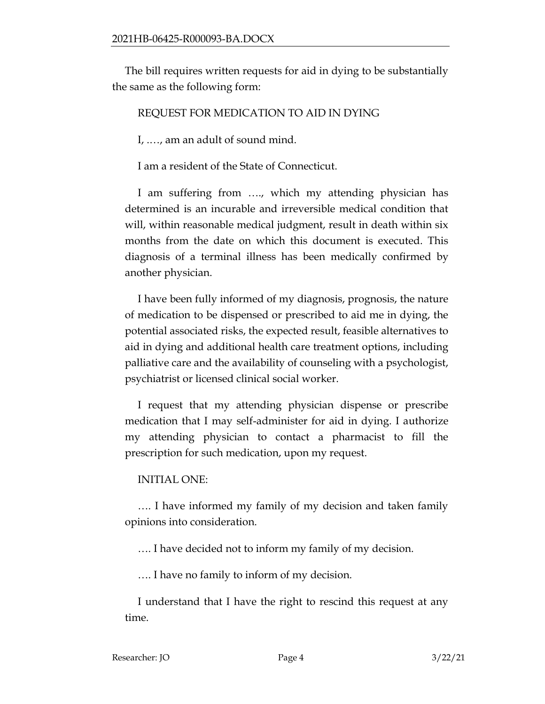The bill requires written requests for aid in dying to be substantially the same as the following form:

#### REQUEST FOR MEDICATION TO AID IN DYING

I, .…, am an adult of sound mind.

I am a resident of the State of Connecticut.

I am suffering from …., which my attending physician has determined is an incurable and irreversible medical condition that will, within reasonable medical judgment, result in death within six months from the date on which this document is executed. This diagnosis of a terminal illness has been medically confirmed by another physician.

I have been fully informed of my diagnosis, prognosis, the nature of medication to be dispensed or prescribed to aid me in dying, the potential associated risks, the expected result, feasible alternatives to aid in dying and additional health care treatment options, including palliative care and the availability of counseling with a psychologist, psychiatrist or licensed clinical social worker.

I request that my attending physician dispense or prescribe medication that I may self-administer for aid in dying. I authorize my attending physician to contact a pharmacist to fill the prescription for such medication, upon my request.

#### INITIAL ONE:

…. I have informed my family of my decision and taken family opinions into consideration.

…. I have decided not to inform my family of my decision.

…. I have no family to inform of my decision.

I understand that I have the right to rescind this request at any time.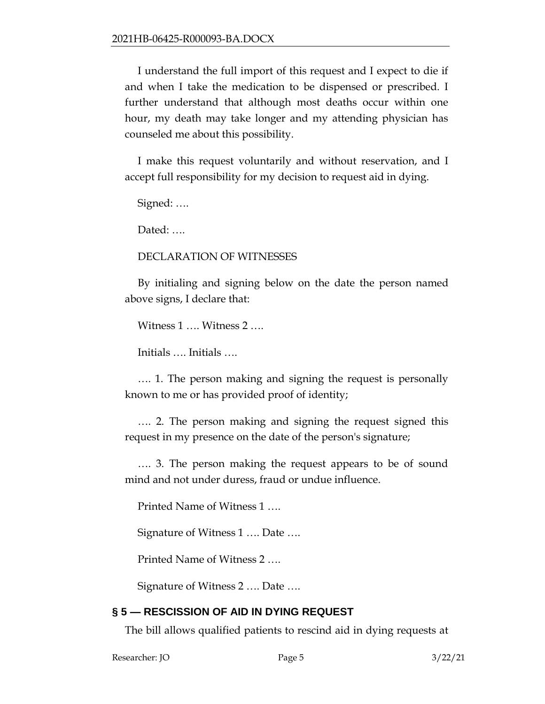I understand the full import of this request and I expect to die if and when I take the medication to be dispensed or prescribed. I further understand that although most deaths occur within one hour, my death may take longer and my attending physician has counseled me about this possibility.

I make this request voluntarily and without reservation, and I accept full responsibility for my decision to request aid in dying.

Signed: ….

Dated: ....

#### DECLARATION OF WITNESSES

By initialing and signing below on the date the person named above signs, I declare that:

Witness 1 …. Witness 2 ….

Initials …. Initials ….

…. 1. The person making and signing the request is personally known to me or has provided proof of identity;

…. 2. The person making and signing the request signed this request in my presence on the date of the person's signature;

…. 3. The person making the request appears to be of sound mind and not under duress, fraud or undue influence.

Printed Name of Witness 1 ….

Signature of Witness 1 …. Date ….

Printed Name of Witness 2 ….

Signature of Witness 2 …. Date ….

# **§ 5 — RESCISSION OF AID IN DYING REQUEST**

The bill allows qualified patients to rescind aid in dying requests at

Researcher: JO Page 5 3/22/21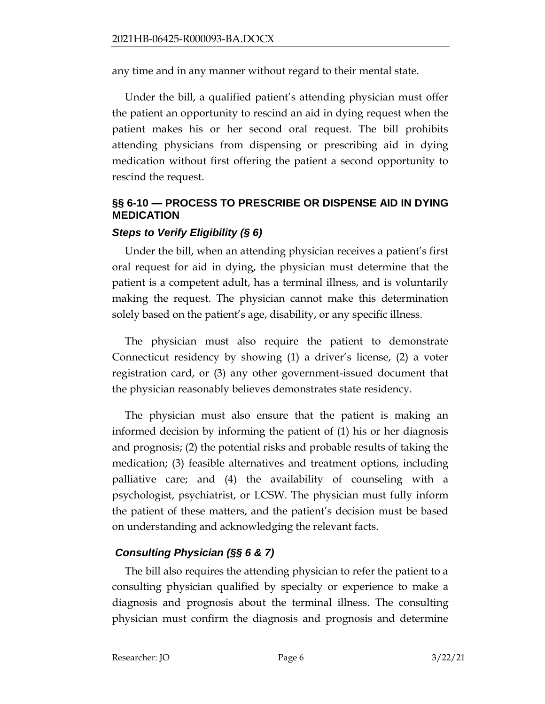any time and in any manner without regard to their mental state.

Under the bill, a qualified patient's attending physician must offer the patient an opportunity to rescind an aid in dying request when the patient makes his or her second oral request. The bill prohibits attending physicians from dispensing or prescribing aid in dying medication without first offering the patient a second opportunity to rescind the request.

# **§§ 6-10 — PROCESS TO PRESCRIBE OR DISPENSE AID IN DYING MEDICATION**

# *Steps to Verify Eligibility (§ 6)*

Under the bill, when an attending physician receives a patient's first oral request for aid in dying, the physician must determine that the patient is a competent adult, has a terminal illness, and is voluntarily making the request. The physician cannot make this determination solely based on the patient's age, disability, or any specific illness.

The physician must also require the patient to demonstrate Connecticut residency by showing (1) a driver's license, (2) a voter registration card, or (3) any other government-issued document that the physician reasonably believes demonstrates state residency.

The physician must also ensure that the patient is making an informed decision by informing the patient of (1) his or her diagnosis and prognosis; (2) the potential risks and probable results of taking the medication; (3) feasible alternatives and treatment options, including palliative care; and (4) the availability of counseling with a psychologist, psychiatrist, or LCSW. The physician must fully inform the patient of these matters, and the patient's decision must be based on understanding and acknowledging the relevant facts.

# *Consulting Physician (§§ 6 & 7)*

The bill also requires the attending physician to refer the patient to a consulting physician qualified by specialty or experience to make a diagnosis and prognosis about the terminal illness. The consulting physician must confirm the diagnosis and prognosis and determine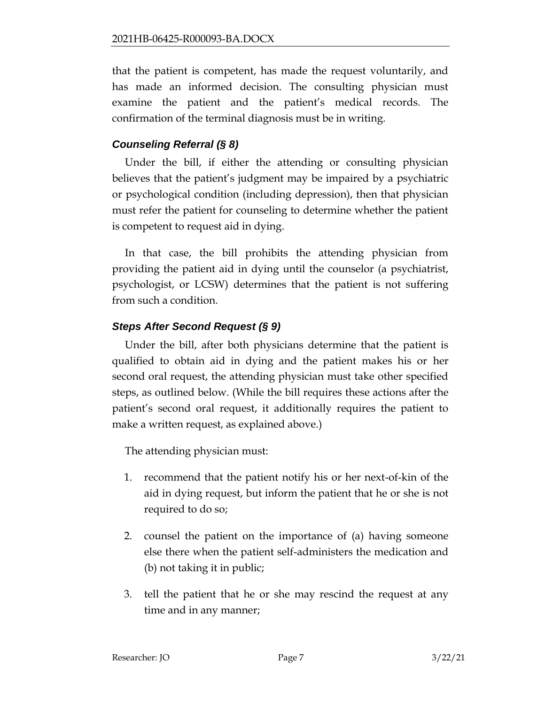that the patient is competent, has made the request voluntarily, and has made an informed decision. The consulting physician must examine the patient and the patient's medical records. The confirmation of the terminal diagnosis must be in writing.

# *Counseling Referral (§ 8)*

Under the bill, if either the attending or consulting physician believes that the patient's judgment may be impaired by a psychiatric or psychological condition (including depression), then that physician must refer the patient for counseling to determine whether the patient is competent to request aid in dying.

In that case, the bill prohibits the attending physician from providing the patient aid in dying until the counselor (a psychiatrist, psychologist, or LCSW) determines that the patient is not suffering from such a condition.

# *Steps After Second Request (§ 9)*

Under the bill, after both physicians determine that the patient is qualified to obtain aid in dying and the patient makes his or her second oral request, the attending physician must take other specified steps, as outlined below. (While the bill requires these actions after the patient's second oral request, it additionally requires the patient to make a written request, as explained above.)

The attending physician must:

- 1. recommend that the patient notify his or her next-of-kin of the aid in dying request, but inform the patient that he or she is not required to do so;
- 2. counsel the patient on the importance of (a) having someone else there when the patient self-administers the medication and (b) not taking it in public;
- 3. tell the patient that he or she may rescind the request at any time and in any manner;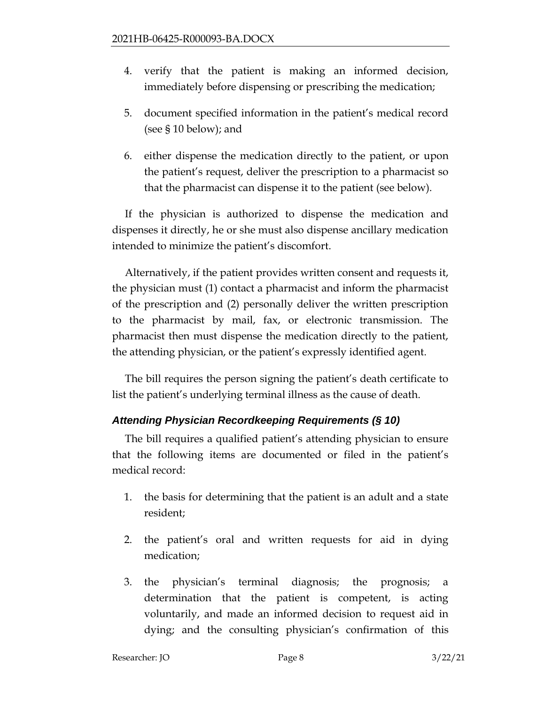- 4. verify that the patient is making an informed decision, immediately before dispensing or prescribing the medication;
- 5. document specified information in the patient's medical record (see § 10 below); and
- 6. either dispense the medication directly to the patient, or upon the patient's request, deliver the prescription to a pharmacist so that the pharmacist can dispense it to the patient (see below).

If the physician is authorized to dispense the medication and dispenses it directly, he or she must also dispense ancillary medication intended to minimize the patient's discomfort.

Alternatively, if the patient provides written consent and requests it, the physician must (1) contact a pharmacist and inform the pharmacist of the prescription and (2) personally deliver the written prescription to the pharmacist by mail, fax, or electronic transmission. The pharmacist then must dispense the medication directly to the patient, the attending physician, or the patient's expressly identified agent.

The bill requires the person signing the patient's death certificate to list the patient's underlying terminal illness as the cause of death.

# *Attending Physician Recordkeeping Requirements (§ 10)*

The bill requires a qualified patient's attending physician to ensure that the following items are documented or filed in the patient's medical record:

- 1. the basis for determining that the patient is an adult and a state resident;
- 2. the patient's oral and written requests for aid in dying medication;
- 3. the physician's terminal diagnosis; the prognosis; a determination that the patient is competent, is acting voluntarily, and made an informed decision to request aid in dying; and the consulting physician's confirmation of this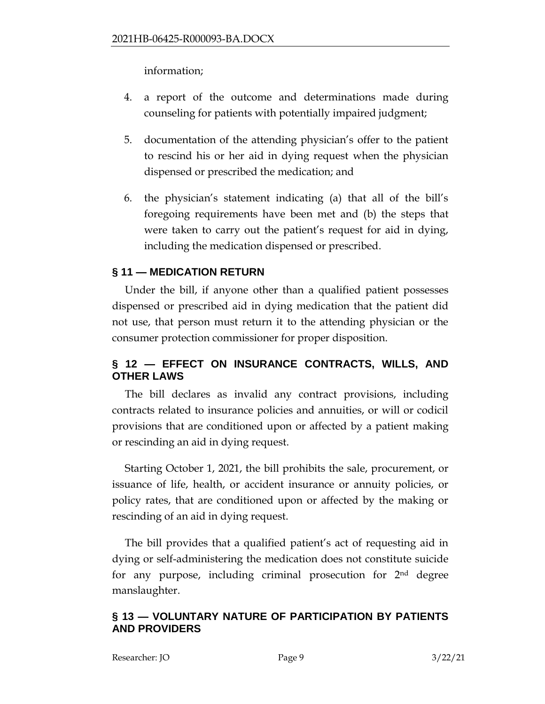information;

- 4. a report of the outcome and determinations made during counseling for patients with potentially impaired judgment;
- 5. documentation of the attending physician's offer to the patient to rescind his or her aid in dying request when the physician dispensed or prescribed the medication; and
- 6. the physician's statement indicating (a) that all of the bill's foregoing requirements have been met and (b) the steps that were taken to carry out the patient's request for aid in dying, including the medication dispensed or prescribed.

# **§ 11 — MEDICATION RETURN**

Under the bill, if anyone other than a qualified patient possesses dispensed or prescribed aid in dying medication that the patient did not use, that person must return it to the attending physician or the consumer protection commissioner for proper disposition.

# **§ 12 — EFFECT ON INSURANCE CONTRACTS, WILLS, AND OTHER LAWS**

The bill declares as invalid any contract provisions, including contracts related to insurance policies and annuities, or will or codicil provisions that are conditioned upon or affected by a patient making or rescinding an aid in dying request.

Starting October 1, 2021, the bill prohibits the sale, procurement, or issuance of life, health, or accident insurance or annuity policies, or policy rates, that are conditioned upon or affected by the making or rescinding of an aid in dying request.

The bill provides that a qualified patient's act of requesting aid in dying or self-administering the medication does not constitute suicide for any purpose, including criminal prosecution for  $2<sup>nd</sup>$  degree manslaughter.

#### **§ 13 — VOLUNTARY NATURE OF PARTICIPATION BY PATIENTS AND PROVIDERS**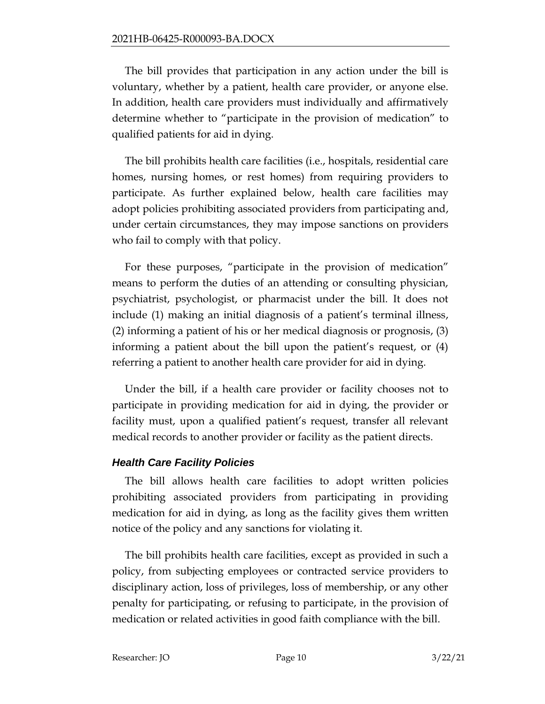The bill provides that participation in any action under the bill is voluntary, whether by a patient, health care provider, or anyone else. In addition, health care providers must individually and affirmatively determine whether to "participate in the provision of medication" to qualified patients for aid in dying.

The bill prohibits health care facilities (i.e., hospitals, residential care homes, nursing homes, or rest homes) from requiring providers to participate. As further explained below, health care facilities may adopt policies prohibiting associated providers from participating and, under certain circumstances, they may impose sanctions on providers who fail to comply with that policy.

For these purposes, "participate in the provision of medication" means to perform the duties of an attending or consulting physician, psychiatrist, psychologist, or pharmacist under the bill. It does not include (1) making an initial diagnosis of a patient's terminal illness, (2) informing a patient of his or her medical diagnosis or prognosis, (3) informing a patient about the bill upon the patient's request, or (4) referring a patient to another health care provider for aid in dying.

Under the bill, if a health care provider or facility chooses not to participate in providing medication for aid in dying, the provider or facility must, upon a qualified patient's request, transfer all relevant medical records to another provider or facility as the patient directs.

#### *Health Care Facility Policies*

The bill allows health care facilities to adopt written policies prohibiting associated providers from participating in providing medication for aid in dying, as long as the facility gives them written notice of the policy and any sanctions for violating it.

The bill prohibits health care facilities, except as provided in such a policy, from subjecting employees or contracted service providers to disciplinary action, loss of privileges, loss of membership, or any other penalty for participating, or refusing to participate, in the provision of medication or related activities in good faith compliance with the bill.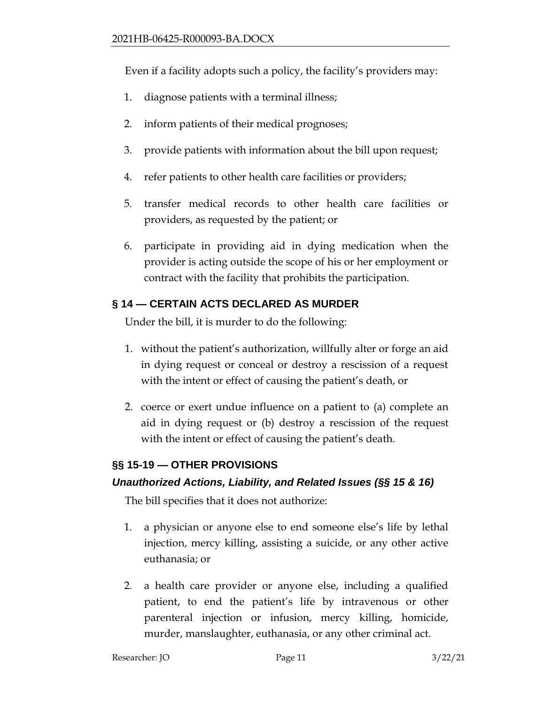Even if a facility adopts such a policy, the facility's providers may:

- 1. diagnose patients with a terminal illness;
- 2. inform patients of their medical prognoses;
- 3. provide patients with information about the bill upon request;
- 4. refer patients to other health care facilities or providers;
- 5. transfer medical records to other health care facilities or providers, as requested by the patient; or
- 6. participate in providing aid in dying medication when the provider is acting outside the scope of his or her employment or contract with the facility that prohibits the participation.

# **§ 14 — CERTAIN ACTS DECLARED AS MURDER**

Under the bill, it is murder to do the following:

- 1. without the patient's authorization, willfully alter or forge an aid in dying request or conceal or destroy a rescission of a request with the intent or effect of causing the patient's death, or
- 2. coerce or exert undue influence on a patient to (a) complete an aid in dying request or (b) destroy a rescission of the request with the intent or effect of causing the patient's death.

# **§§ 15-19 — OTHER PROVISIONS**

# *Unauthorized Actions, Liability, and Related Issues (§§ 15 & 16)*

The bill specifies that it does not authorize:

- 1. a physician or anyone else to end someone else's life by lethal injection, mercy killing, assisting a suicide, or any other active euthanasia; or
- 2. a health care provider or anyone else, including a qualified patient, to end the patient's life by intravenous or other parenteral injection or infusion, mercy killing, homicide, murder, manslaughter, euthanasia, or any other criminal act.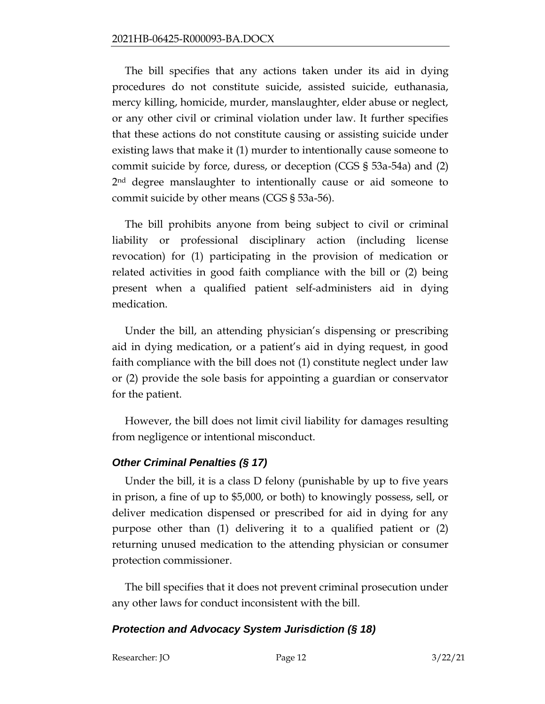The bill specifies that any actions taken under its aid in dying procedures do not constitute suicide, assisted suicide, euthanasia, mercy killing, homicide, murder, manslaughter, elder abuse or neglect, or any other civil or criminal violation under law. It further specifies that these actions do not constitute causing or assisting suicide under existing laws that make it (1) murder to intentionally cause someone to commit suicide by force, duress, or deception (CGS § 53a-54a) and (2) 2<sup>nd</sup> degree manslaughter to intentionally cause or aid someone to commit suicide by other means (CGS § 53a-56).

The bill prohibits anyone from being subject to civil or criminal liability or professional disciplinary action (including license revocation) for (1) participating in the provision of medication or related activities in good faith compliance with the bill or (2) being present when a qualified patient self-administers aid in dying medication.

Under the bill, an attending physician's dispensing or prescribing aid in dying medication, or a patient's aid in dying request, in good faith compliance with the bill does not (1) constitute neglect under law or (2) provide the sole basis for appointing a guardian or conservator for the patient.

However, the bill does not limit civil liability for damages resulting from negligence or intentional misconduct.

# *Other Criminal Penalties (§ 17)*

Under the bill, it is a class D felony (punishable by up to five years in prison, a fine of up to \$5,000, or both) to knowingly possess, sell, or deliver medication dispensed or prescribed for aid in dying for any purpose other than (1) delivering it to a qualified patient or (2) returning unused medication to the attending physician or consumer protection commissioner.

The bill specifies that it does not prevent criminal prosecution under any other laws for conduct inconsistent with the bill.

#### *Protection and Advocacy System Jurisdiction (§ 18)*

Researcher: JO Page 12 3/22/21